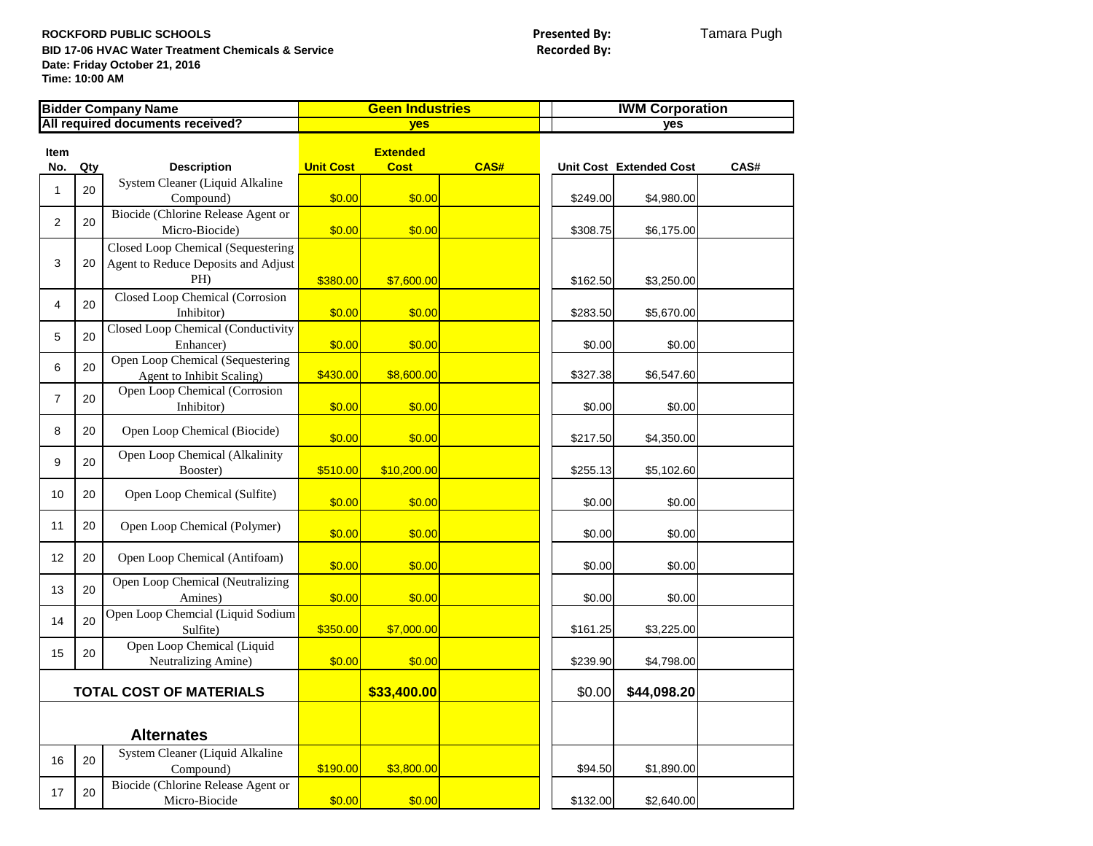ROCKFORD PUBLIC SCHOOLS<br> **ROCKFORD PUBLIC SCHOOLS**<br> **BID 17-06 HVAC Water Treatment Chemicals & Service**<br> **Presented By: Presented By: BID 17-06 HVAC Water Treatment Chemicals & Service Date: Friday October 21, 2016 Time: 10:00 AM**

| <b>Bidder Company Name</b>       |     |                                                            | <b>Geen Industries</b> |                                |      | <b>IWM Corporation</b> |                                |      |
|----------------------------------|-----|------------------------------------------------------------|------------------------|--------------------------------|------|------------------------|--------------------------------|------|
| All required documents received? |     |                                                            | yes                    |                                |      | yes                    |                                |      |
| <b>Item</b><br>No.               | Qty | <b>Description</b>                                         | <b>Unit Cost</b>       | <b>Extended</b><br><b>Cost</b> | CAS# |                        | <b>Unit Cost Extended Cost</b> | CAS# |
|                                  |     | System Cleaner (Liquid Alkaline                            |                        |                                |      |                        |                                |      |
| $\mathbf{1}$                     | 20  | Compound)                                                  | \$0.00                 | \$0.00                         |      | \$249.00               | \$4,980.00                     |      |
|                                  | 20  | Biocide (Chlorine Release Agent or                         |                        |                                |      |                        |                                |      |
| $\overline{2}$                   |     | Micro-Biocide)                                             | \$0.00                 | \$0.00                         |      | \$308.75               | \$6,175.00                     |      |
|                                  |     | Closed Loop Chemical (Sequestering                         |                        |                                |      |                        |                                |      |
| 3                                | 20  | Agent to Reduce Deposits and Adjust                        |                        |                                |      |                        |                                |      |
|                                  |     | PH)                                                        | \$380.00               | \$7,600.00                     |      | \$162.50               | \$3,250.00                     |      |
| 4                                | 20  | Closed Loop Chemical (Corrosion                            |                        |                                |      |                        |                                |      |
|                                  |     | Inhibitor)                                                 | \$0.00                 | \$0.00                         |      | \$283.50               | \$5,670.00                     |      |
| 5                                | 20  | Closed Loop Chemical (Conductivity                         |                        |                                |      |                        |                                |      |
|                                  |     | Enhancer)                                                  | \$0.00                 | \$0.00                         |      | \$0.00                 | \$0.00                         |      |
| 6                                | 20  | Open Loop Chemical (Sequestering                           | \$430.00               | \$8,600.00                     |      | \$327.38               | \$6,547.60                     |      |
|                                  |     | Agent to Inhibit Scaling)<br>Open Loop Chemical (Corrosion |                        |                                |      |                        |                                |      |
| $\overline{7}$                   | 20  | Inhibitor)                                                 | \$0.00                 | \$0.00                         |      | \$0.00                 | \$0.00                         |      |
|                                  |     |                                                            |                        |                                |      |                        |                                |      |
| 8                                | 20  | Open Loop Chemical (Biocide)                               | \$0.00                 | \$0.00                         |      | \$217.50               | \$4,350.00                     |      |
|                                  |     | Open Loop Chemical (Alkalinity                             |                        |                                |      |                        |                                |      |
| 9                                | 20  | Booster)                                                   | \$510.00               | \$10,200.00                    |      | \$255.13               | \$5,102.60                     |      |
| 10                               | 20  | Open Loop Chemical (Sulfite)                               |                        |                                |      |                        |                                |      |
|                                  |     |                                                            | \$0.00                 | \$0.00                         |      | \$0.00                 | \$0.00                         |      |
| 11                               | 20  | Open Loop Chemical (Polymer)                               |                        |                                |      |                        |                                |      |
|                                  |     |                                                            | \$0.00                 | \$0.00                         |      | \$0.00                 | \$0.00                         |      |
| 12                               | 20  | Open Loop Chemical (Antifoam)                              | \$0.00                 | \$0.00                         |      | \$0.00                 | \$0.00                         |      |
|                                  |     | Open Loop Chemical (Neutralizing                           |                        |                                |      |                        |                                |      |
| 13                               | 20  | Amines)                                                    | \$0.00                 | \$0.00                         |      | \$0.00                 | \$0.00                         |      |
|                                  |     | Open Loop Chemcial (Liquid Sodium                          |                        |                                |      |                        |                                |      |
| 14                               | 20  | Sulfite)                                                   | \$350.00               | \$7,000.00                     |      | \$161.25               | \$3,225.00                     |      |
| 15                               | 20  | Open Loop Chemical (Liquid                                 |                        |                                |      |                        |                                |      |
|                                  |     | Neutralizing Amine)                                        | \$0.00                 | \$0.00                         |      | \$239.90               | \$4,798.00                     |      |
|                                  |     |                                                            |                        |                                |      |                        |                                |      |
| <b>TOTAL COST OF MATERIALS</b>   |     |                                                            |                        | \$33,400.00                    |      | \$0.00                 | \$44,098.20                    |      |
|                                  |     |                                                            |                        |                                |      |                        |                                |      |
|                                  |     | <b>Alternates</b>                                          |                        |                                |      |                        |                                |      |
|                                  |     | System Cleaner (Liquid Alkaline                            |                        |                                |      |                        |                                |      |
| 16                               | 20  | Compound)                                                  | \$190.00               | \$3,800.00                     |      | \$94.50                | \$1,890.00                     |      |
| 17                               | 20  | Biocide (Chlorine Release Agent or                         |                        |                                |      |                        |                                |      |
|                                  |     | Micro-Biocide                                              | \$0.00                 | \$0.00                         |      | \$132.00               | \$2,640.00                     |      |
|                                  |     |                                                            |                        |                                |      |                        |                                |      |
|                                  |     |                                                            |                        |                                |      |                        |                                |      |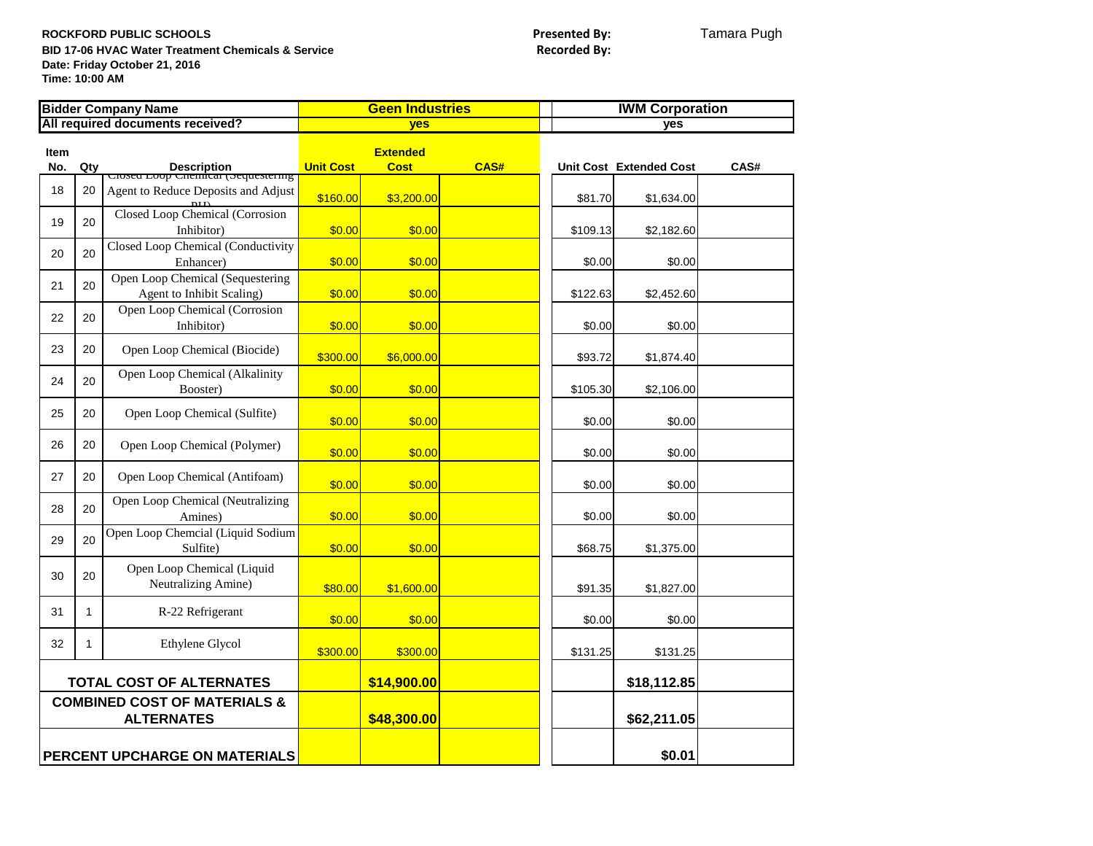ROCKFORD PUBLIC SCHOOLS<br> **ROCKFORD PUBLIC SCHOOLS**<br> **BID 17-06 HVAC Water Treatment Chemicals & Service**<br> **Presented By: Presented By: BID 17-06 HVAC Water Treatment Chemicals & Service Date: Friday October 21, 2016 Time: 10:00 AM**

| <b>Bidder Company Name</b>       |                                                              |                                                                                          | <b>Geen Industries</b> |                                |      | <b>IWM Corporation</b> |                         |      |
|----------------------------------|--------------------------------------------------------------|------------------------------------------------------------------------------------------|------------------------|--------------------------------|------|------------------------|-------------------------|------|
| All required documents received? |                                                              |                                                                                          | <b>ves</b>             |                                |      | <b>ves</b>             |                         |      |
| <b>Item</b><br>No.               | Qty                                                          |                                                                                          | <b>Unit Cost</b>       | <b>Extended</b><br><b>Cost</b> | CAS# |                        | Unit Cost Extended Cost | CAS# |
| 18                               | 20                                                           | Description<br>Crosed Loop Chenncar (Sequestering<br>Agent to Reduce Deposits and Adjust | \$160.00               | \$3,200.00                     |      | \$81.70                | \$1,634.00              |      |
| 19                               | 20                                                           | Closed Loop Chemical (Corrosion<br>Inhibitor)                                            | \$0.00                 | \$0.00                         |      | \$109.13               | \$2,182.60              |      |
| 20                               | 20                                                           | Closed Loop Chemical (Conductivity<br>Enhancer)                                          | \$0.00                 | \$0.00                         |      | \$0.00                 | \$0.00                  |      |
| 21                               | 20                                                           | Open Loop Chemical (Sequestering<br>Agent to Inhibit Scaling)                            | \$0.00                 | \$0.00                         |      | \$122.63               | \$2,452.60              |      |
| 22                               | 20                                                           | Open Loop Chemical (Corrosion<br>Inhibitor)                                              | \$0.00                 | \$0.00                         |      | \$0.00                 | \$0.00                  |      |
| 23                               | 20                                                           | Open Loop Chemical (Biocide)                                                             | \$300.00               | \$6,000.00                     |      | \$93.72                | \$1,874.40              |      |
| 24                               | 20                                                           | Open Loop Chemical (Alkalinity<br>Booster)                                               | \$0.00                 | \$0.00                         |      | \$105.30               | \$2,106.00              |      |
| 25                               | 20                                                           | Open Loop Chemical (Sulfite)                                                             | \$0.00                 | \$0.00                         |      | \$0.00                 | \$0.00                  |      |
| 26                               | 20                                                           | Open Loop Chemical (Polymer)                                                             | \$0.00                 | \$0.00                         |      | \$0.00                 | \$0.00                  |      |
| 27                               | 20                                                           | Open Loop Chemical (Antifoam)                                                            | \$0.00                 | \$0.00                         |      | \$0.00                 | \$0.00                  |      |
| 28                               | 20                                                           | Open Loop Chemical (Neutralizing<br>Amines)                                              | \$0.00                 | \$0.00                         |      | \$0.00                 | \$0.00                  |      |
| 29                               | 20                                                           | Open Loop Chemcial (Liquid Sodium<br>Sulfite)                                            | \$0.00                 | \$0.00                         |      | \$68.75                | \$1,375.00              |      |
| 30                               | 20                                                           | Open Loop Chemical (Liquid<br>Neutralizing Amine)                                        | \$80.00                | \$1,600.00                     |      | \$91.35                | \$1,827.00              |      |
| 31                               | $\mathbf{1}$                                                 | R-22 Refrigerant                                                                         | \$0.00                 | \$0.00                         |      | \$0.00                 | \$0.00                  |      |
| 32                               | 1                                                            | Ethylene Glycol                                                                          | \$300.00               | \$300.00                       |      | \$131.25               | \$131.25                |      |
|                                  | <b>TOTAL COST OF ALTERNATES</b>                              |                                                                                          |                        | \$14,900.00                    |      |                        | \$18,112.85             |      |
|                                  | <b>COMBINED COST OF MATERIALS &amp;</b><br><b>ALTERNATES</b> |                                                                                          |                        | \$48,300.00                    |      |                        | \$62,211.05             |      |
| PERCENT UPCHARGE ON MATERIALS    |                                                              |                                                                                          |                        |                                |      |                        | \$0.01                  |      |